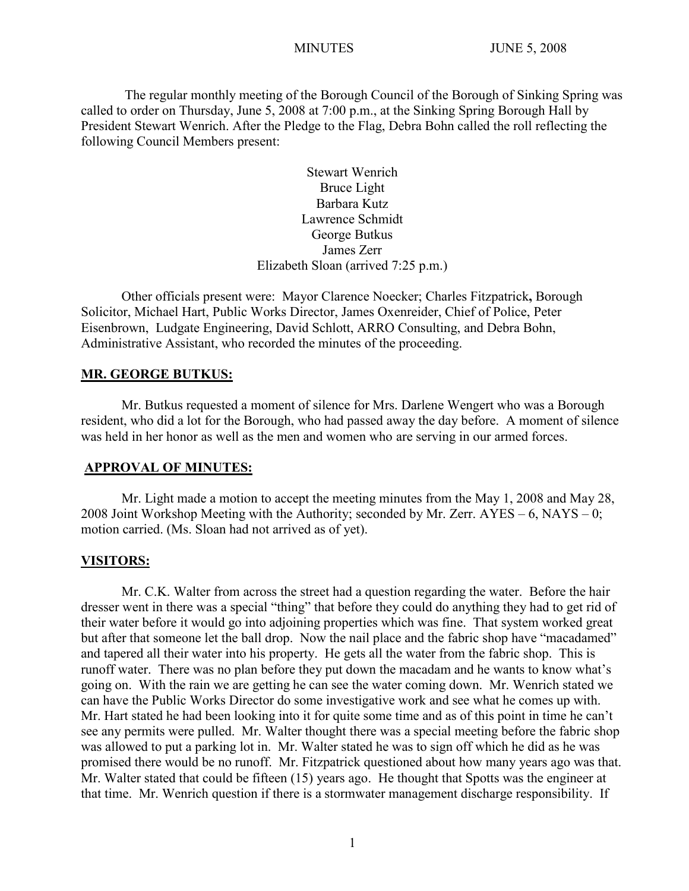The regular monthly meeting of the Borough Council of the Borough of Sinking Spring was called to order on Thursday, June 5, 2008 at 7:00 p.m., at the Sinking Spring Borough Hall by President Stewart Wenrich. After the Pledge to the Flag, Debra Bohn called the roll reflecting the following Council Members present:

> Stewart Wenrich Bruce Light Barbara Kutz Lawrence Schmidt George Butkus James Zerr Elizabeth Sloan (arrived 7:25 p.m.)

Other officials present were: Mayor Clarence Noecker; Charles Fitzpatrick**,** Borough Solicitor, Michael Hart, Public Works Director, James Oxenreider, Chief of Police, Peter Eisenbrown, Ludgate Engineering, David Schlott, ARRO Consulting, and Debra Bohn, Administrative Assistant, who recorded the minutes of the proceeding.

#### **MR. GEORGE BUTKUS:**

Mr. Butkus requested a moment of silence for Mrs. Darlene Wengert who was a Borough resident, who did a lot for the Borough, who had passed away the day before. A moment of silence was held in her honor as well as the men and women who are serving in our armed forces.

#### **APPROVAL OF MINUTES:**

Mr. Light made a motion to accept the meeting minutes from the May 1, 2008 and May 28, 2008 Joint Workshop Meeting with the Authority; seconded by Mr. Zerr. AYES – 6, NAYS – 0; motion carried. (Ms. Sloan had not arrived as of yet).

#### **VISITORS:**

Mr. C.K. Walter from across the street had a question regarding the water. Before the hair dresser went in there was a special "thing" that before they could do anything they had to get rid of their water before it would go into adjoining properties which was fine. That system worked great but after that someone let the ball drop. Now the nail place and the fabric shop have "macadamed" and tapered all their water into his property. He gets all the water from the fabric shop. This is runoff water. There was no plan before they put down the macadam and he wants to know what's going on. With the rain we are getting he can see the water coming down. Mr. Wenrich stated we can have the Public Works Director do some investigative work and see what he comes up with. Mr. Hart stated he had been looking into it for quite some time and as of this point in time he can't see any permits were pulled. Mr. Walter thought there was a special meeting before the fabric shop was allowed to put a parking lot in. Mr. Walter stated he was to sign off which he did as he was promised there would be no runoff. Mr. Fitzpatrick questioned about how many years ago was that. Mr. Walter stated that could be fifteen (15) years ago. He thought that Spotts was the engineer at that time. Mr. Wenrich question if there is a stormwater management discharge responsibility. If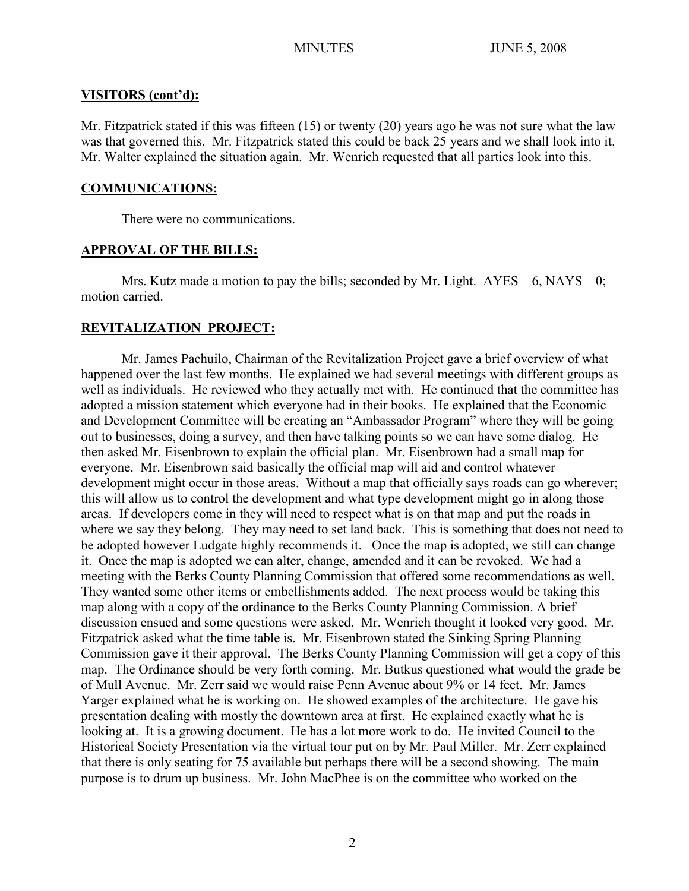#### **VISITORS (cont'd):**

Mr. Fitzpatrick stated if this was fifteen (15) or twenty (20) years ago he was not sure what the law was that governed this. Mr. Fitzpatrick stated this could be back 25 years and we shall look into it. Mr. Walter explained the situation again. Mr. Wenrich requested that all parties look into this.

## **COMMUNICATIONS:**

There were no communications.

## **APPROVAL OF THE BILLS:**

Mrs. Kutz made a motion to pay the bills; seconded by Mr. Light.  $AYES - 6$ ,  $NAYS - 0$ ; motion carried.

# **REVITALIZATION PROJECT:**

Mr. James Pachuilo, Chairman of the Revitalization Project gave a brief overview of what happened over the last few months. He explained we had several meetings with different groups as well as individuals. He reviewed who they actually met with. He continued that the committee has adopted a mission statement which everyone had in their books. He explained that the Economic and Development Committee will be creating an "Ambassador Program" where they will be going out to businesses, doing a survey, and then have talking points so we can have some dialog. He then asked Mr. Eisenbrown to explain the official plan. Mr. Eisenbrown had a small map for everyone. Mr. Eisenbrown said basically the official map will aid and control whatever development might occur in those areas. Without a map that officially says roads can go wherever; this will allow us to control the development and what type development might go in along those areas. If developers come in they will need to respect what is on that map and put the roads in where we say they belong. They may need to set land back. This is something that does not need to be adopted however Ludgate highly recommends it. Once the map is adopted, we still can change it. Once the map is adopted we can alter, change, amended and it can be revoked. We had a meeting with the Berks County Planning Commission that offered some recommendations as well. They wanted some other items or embellishments added. The next process would be taking this map along with a copy of the ordinance to the Berks County Planning Commission. A brief discussion ensued and some questions were asked. Mr. Wenrich thought it looked very good. Mr. Fitzpatrick asked what the time table is. Mr. Eisenbrown stated the Sinking Spring Planning Commission gave it their approval. The Berks County Planning Commission will get a copy of this map. The Ordinance should be very forth coming. Mr. Butkus questioned what would the grade be of Mull Avenue. Mr. Zerr said we would raise Penn Avenue about 9% or 14 feet. Mr. James Yarger explained what he is working on. He showed examples of the architecture. He gave his presentation dealing with mostly the downtown area at first. He explained exactly what he is looking at. It is a growing document. He has a lot more work to do. He invited Council to the Historical Society Presentation via the virtual tour put on by Mr. Paul Miller. Mr. Zerr explained that there is only seating for 75 available but perhaps there will be a second showing. The main purpose is to drum up business. Mr. John MacPhee is on the committee who worked on the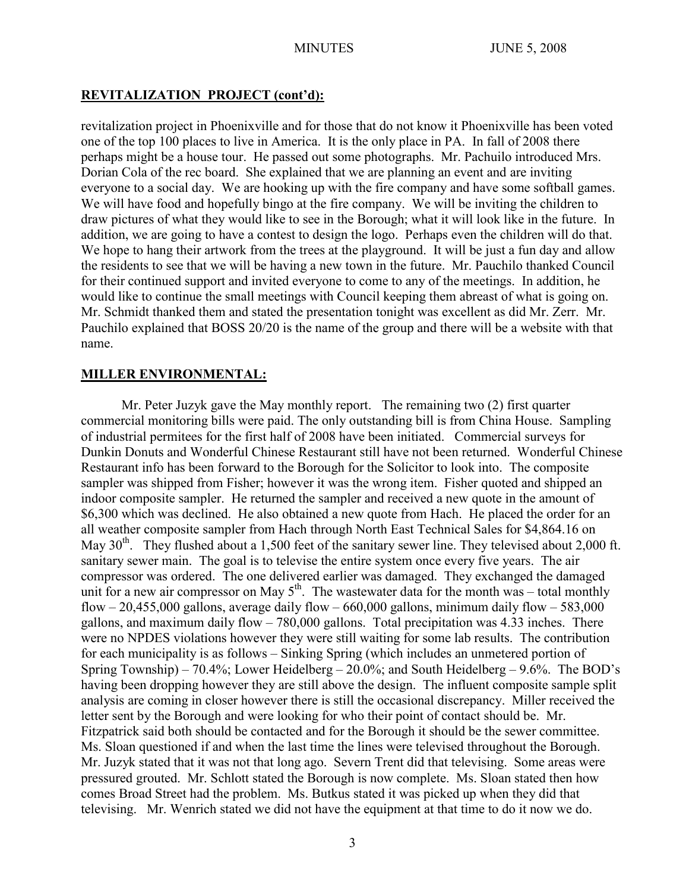# **REVITALIZATION PROJECT (cont'd):**

revitalization project in Phoenixville and for those that do not know it Phoenixville has been voted one of the top 100 places to live in America. It is the only place in PA. In fall of 2008 there perhaps might be a house tour. He passed out some photographs. Mr. Pachuilo introduced Mrs. Dorian Cola of the rec board. She explained that we are planning an event and are inviting everyone to a social day. We are hooking up with the fire company and have some softball games. We will have food and hopefully bingo at the fire company. We will be inviting the children to draw pictures of what they would like to see in the Borough; what it will look like in the future. In addition, we are going to have a contest to design the logo. Perhaps even the children will do that. We hope to hang their artwork from the trees at the playground. It will be just a fun day and allow the residents to see that we will be having a new town in the future. Mr. Pauchilo thanked Council for their continued support and invited everyone to come to any of the meetings. In addition, he would like to continue the small meetings with Council keeping them abreast of what is going on. Mr. Schmidt thanked them and stated the presentation tonight was excellent as did Mr. Zerr. Mr. Pauchilo explained that BOSS 20/20 is the name of the group and there will be a website with that name.

# **MILLER ENVIRONMENTAL:**

Mr. Peter Juzyk gave the May monthly report. The remaining two (2) first quarter commercial monitoring bills were paid. The only outstanding bill is from China House. Sampling of industrial permitees for the first half of 2008 have been initiated. Commercial surveys for Dunkin Donuts and Wonderful Chinese Restaurant still have not been returned. Wonderful Chinese Restaurant info has been forward to the Borough for the Solicitor to look into. The composite sampler was shipped from Fisher; however it was the wrong item. Fisher quoted and shipped an indoor composite sampler. He returned the sampler and received a new quote in the amount of \$6,300 which was declined. He also obtained a new quote from Hach. He placed the order for an all weather composite sampler from Hach through North East Technical Sales for \$4,864.16 on May 30<sup>th</sup>. They flushed about a 1,500 feet of the sanitary sewer line. They televised about 2,000 ft. sanitary sewer main. The goal is to televise the entire system once every five years. The air compressor was ordered. The one delivered earlier was damaged. They exchanged the damaged unit for a new air compressor on May  $5<sup>th</sup>$ . The wastewater data for the month was – total monthly flow – 20,455,000 gallons, average daily flow – 660,000 gallons, minimum daily flow – 583,000 gallons, and maximum daily flow – 780,000 gallons. Total precipitation was 4.33 inches. There were no NPDES violations however they were still waiting for some lab results. The contribution for each municipality is as follows – Sinking Spring (which includes an unmetered portion of Spring Township) – 70.4%; Lower Heidelberg –  $20.0\%$ ; and South Heidelberg – 9.6%. The BOD's having been dropping however they are still above the design. The influent composite sample split analysis are coming in closer however there is still the occasional discrepancy. Miller received the letter sent by the Borough and were looking for who their point of contact should be. Mr. Fitzpatrick said both should be contacted and for the Borough it should be the sewer committee. Ms. Sloan questioned if and when the last time the lines were televised throughout the Borough. Mr. Juzyk stated that it was not that long ago. Severn Trent did that televising. Some areas were pressured grouted. Mr. Schlott stated the Borough is now complete. Ms. Sloan stated then how comes Broad Street had the problem. Ms. Butkus stated it was picked up when they did that televising. Mr. Wenrich stated we did not have the equipment at that time to do it now we do.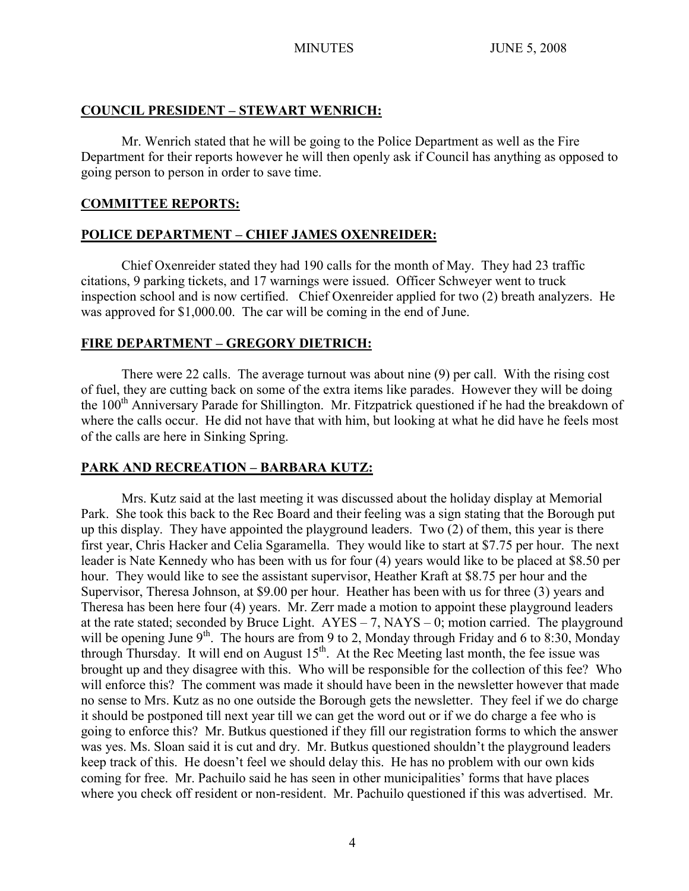## **COUNCIL PRESIDENT – STEWART WENRICH:**

Mr. Wenrich stated that he will be going to the Police Department as well as the Fire Department for their reports however he will then openly ask if Council has anything as opposed to going person to person in order to save time.

## **COMMITTEE REPORTS:**

# **POLICE DEPARTMENT – CHIEF JAMES OXENREIDER:**

Chief Oxenreider stated they had 190 calls for the month of May. They had 23 traffic citations, 9 parking tickets, and 17 warnings were issued. Officer Schweyer went to truck inspection school and is now certified. Chief Oxenreider applied for two (2) breath analyzers. He was approved for \$1,000.00. The car will be coming in the end of June.

# **FIRE DEPARTMENT – GREGORY DIETRICH:**

There were 22 calls. The average turnout was about nine (9) per call. With the rising cost of fuel, they are cutting back on some of the extra items like parades. However they will be doing the 100<sup>th</sup> Anniversary Parade for Shillington. Mr. Fitzpatrick questioned if he had the breakdown of where the calls occur. He did not have that with him, but looking at what he did have he feels most of the calls are here in Sinking Spring.

# **PARK AND RECREATION – BARBARA KUTZ:**

Mrs. Kutz said at the last meeting it was discussed about the holiday display at Memorial Park. She took this back to the Rec Board and their feeling was a sign stating that the Borough put up this display. They have appointed the playground leaders. Two (2) of them, this year is there first year, Chris Hacker and Celia Sgaramella. They would like to start at \$7.75 per hour. The next leader is Nate Kennedy who has been with us for four (4) years would like to be placed at \$8.50 per hour. They would like to see the assistant supervisor, Heather Kraft at \$8.75 per hour and the Supervisor, Theresa Johnson, at \$9.00 per hour. Heather has been with us for three (3) years and Theresa has been here four (4) years. Mr. Zerr made a motion to appoint these playground leaders at the rate stated; seconded by Bruce Light.  $AYES - 7$ ,  $NAYS - 0$ ; motion carried. The playground will be opening June  $9<sup>th</sup>$ . The hours are from 9 to 2, Monday through Friday and 6 to 8:30, Monday through Thursday. It will end on August  $15<sup>th</sup>$ . At the Rec Meeting last month, the fee issue was brought up and they disagree with this. Who will be responsible for the collection of this fee? Who will enforce this? The comment was made it should have been in the newsletter however that made no sense to Mrs. Kutz as no one outside the Borough gets the newsletter. They feel if we do charge it should be postponed till next year till we can get the word out or if we do charge a fee who is going to enforce this? Mr. Butkus questioned if they fill our registration forms to which the answer was yes. Ms. Sloan said it is cut and dry. Mr. Butkus questioned shouldn't the playground leaders keep track of this. He doesn't feel we should delay this. He has no problem with our own kids coming for free. Mr. Pachuilo said he has seen in other municipalities' forms that have places where you check off resident or non-resident. Mr. Pachuilo questioned if this was advertised. Mr.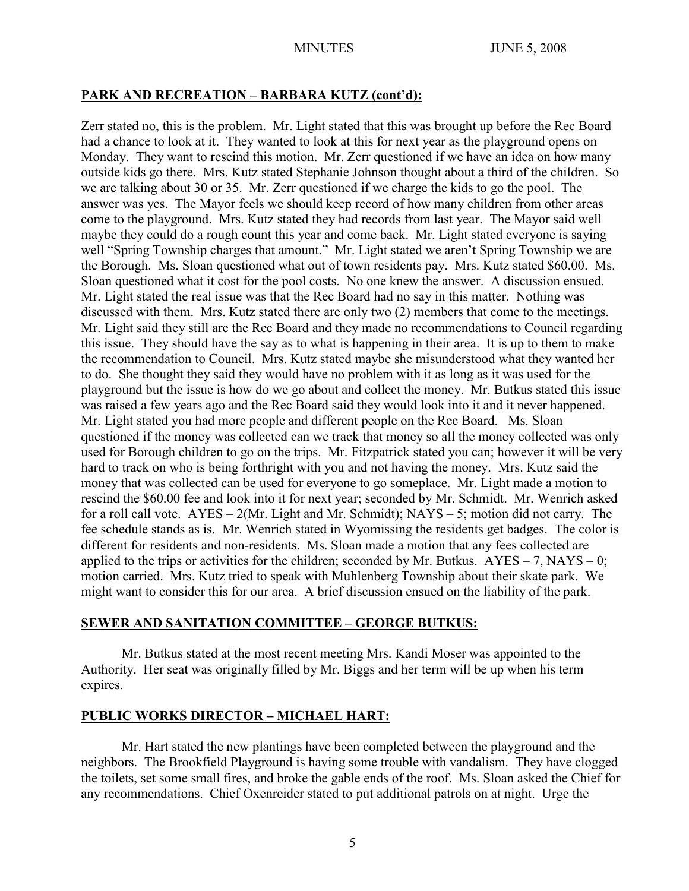# **PARK AND RECREATION – BARBARA KUTZ (cont'd):**

Zerr stated no, this is the problem. Mr. Light stated that this was brought up before the Rec Board had a chance to look at it. They wanted to look at this for next year as the playground opens on Monday. They want to rescind this motion. Mr. Zerr questioned if we have an idea on how many outside kids go there. Mrs. Kutz stated Stephanie Johnson thought about a third of the children. So we are talking about 30 or 35. Mr. Zerr questioned if we charge the kids to go the pool. The answer was yes. The Mayor feels we should keep record of how many children from other areas come to the playground. Mrs. Kutz stated they had records from last year. The Mayor said well maybe they could do a rough count this year and come back. Mr. Light stated everyone is saying well "Spring Township charges that amount." Mr. Light stated we aren't Spring Township we are the Borough. Ms. Sloan questioned what out of town residents pay. Mrs. Kutz stated \$60.00. Ms. Sloan questioned what it cost for the pool costs. No one knew the answer. A discussion ensued. Mr. Light stated the real issue was that the Rec Board had no say in this matter. Nothing was discussed with them. Mrs. Kutz stated there are only two (2) members that come to the meetings. Mr. Light said they still are the Rec Board and they made no recommendations to Council regarding this issue. They should have the say as to what is happening in their area. It is up to them to make the recommendation to Council. Mrs. Kutz stated maybe she misunderstood what they wanted her to do. She thought they said they would have no problem with it as long as it was used for the playground but the issue is how do we go about and collect the money. Mr. Butkus stated this issue was raised a few years ago and the Rec Board said they would look into it and it never happened. Mr. Light stated you had more people and different people on the Rec Board. Ms. Sloan questioned if the money was collected can we track that money so all the money collected was only used for Borough children to go on the trips. Mr. Fitzpatrick stated you can; however it will be very hard to track on who is being forthright with you and not having the money. Mrs. Kutz said the money that was collected can be used for everyone to go someplace. Mr. Light made a motion to rescind the \$60.00 fee and look into it for next year; seconded by Mr. Schmidt. Mr. Wenrich asked for a roll call vote. AYES – 2(Mr. Light and Mr. Schmidt); NAYS – 5; motion did not carry. The fee schedule stands as is. Mr. Wenrich stated in Wyomissing the residents get badges. The color is different for residents and non-residents. Ms. Sloan made a motion that any fees collected are applied to the trips or activities for the children; seconded by Mr. Butkus.  $AYES - 7$ ,  $NAYS - 0$ ; motion carried. Mrs. Kutz tried to speak with Muhlenberg Township about their skate park. We might want to consider this for our area. A brief discussion ensued on the liability of the park.

# **SEWER AND SANITATION COMMITTEE – GEORGE BUTKUS:**

Mr. Butkus stated at the most recent meeting Mrs. Kandi Moser was appointed to the Authority. Her seat was originally filled by Mr. Biggs and her term will be up when his term expires.

# **PUBLIC WORKS DIRECTOR – MICHAEL HART:**

Mr. Hart stated the new plantings have been completed between the playground and the neighbors. The Brookfield Playground is having some trouble with vandalism. They have clogged the toilets, set some small fires, and broke the gable ends of the roof. Ms. Sloan asked the Chief for any recommendations. Chief Oxenreider stated to put additional patrols on at night. Urge the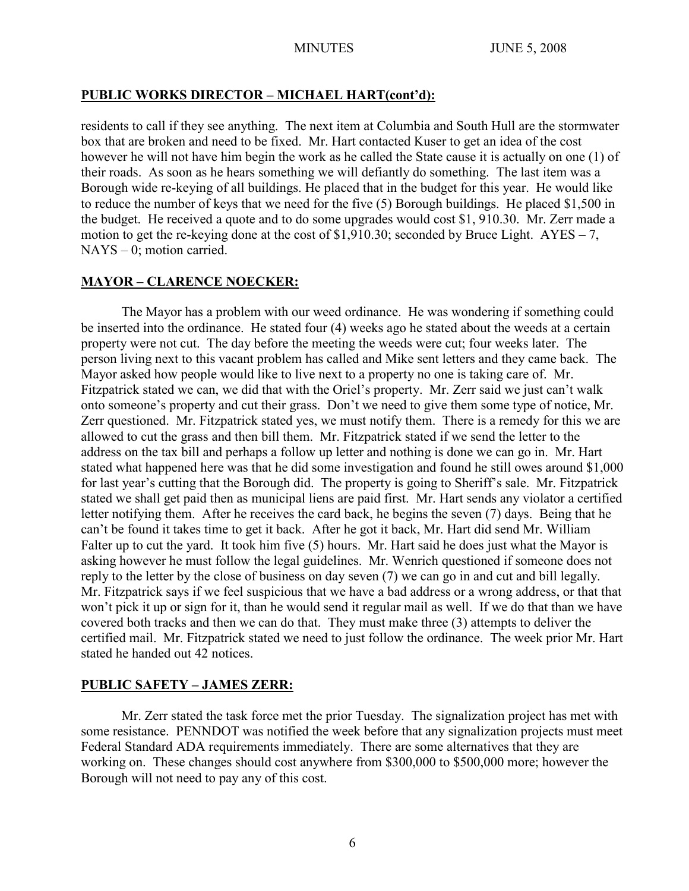# **PUBLIC WORKS DIRECTOR – MICHAEL HART(cont'd):**

residents to call if they see anything. The next item at Columbia and South Hull are the stormwater box that are broken and need to be fixed. Mr. Hart contacted Kuser to get an idea of the cost however he will not have him begin the work as he called the State cause it is actually on one (1) of their roads. As soon as he hears something we will defiantly do something. The last item was a Borough wide re-keying of all buildings. He placed that in the budget for this year. He would like to reduce the number of keys that we need for the five (5) Borough buildings. He placed \$1,500 in the budget. He received a quote and to do some upgrades would cost \$1, 910.30. Mr. Zerr made a motion to get the re-keying done at the cost of \$1,910.30; seconded by Bruce Light. AYES – 7, NAYS – 0; motion carried.

# **MAYOR – CLARENCE NOECKER:**

The Mayor has a problem with our weed ordinance. He was wondering if something could be inserted into the ordinance. He stated four (4) weeks ago he stated about the weeds at a certain property were not cut. The day before the meeting the weeds were cut; four weeks later. The person living next to this vacant problem has called and Mike sent letters and they came back. The Mayor asked how people would like to live next to a property no one is taking care of. Mr. Fitzpatrick stated we can, we did that with the Oriel's property. Mr. Zerr said we just can't walk onto someone's property and cut their grass. Don't we need to give them some type of notice, Mr. Zerr questioned. Mr. Fitzpatrick stated yes, we must notify them. There is a remedy for this we are allowed to cut the grass and then bill them. Mr. Fitzpatrick stated if we send the letter to the address on the tax bill and perhaps a follow up letter and nothing is done we can go in. Mr. Hart stated what happened here was that he did some investigation and found he still owes around \$1,000 for last year's cutting that the Borough did. The property is going to Sheriff's sale. Mr. Fitzpatrick stated we shall get paid then as municipal liens are paid first. Mr. Hart sends any violator a certified letter notifying them. After he receives the card back, he begins the seven (7) days. Being that he can't be found it takes time to get it back. After he got it back, Mr. Hart did send Mr. William Falter up to cut the yard. It took him five (5) hours. Mr. Hart said he does just what the Mayor is asking however he must follow the legal guidelines. Mr. Wenrich questioned if someone does not reply to the letter by the close of business on day seven (7) we can go in and cut and bill legally. Mr. Fitzpatrick says if we feel suspicious that we have a bad address or a wrong address, or that that won't pick it up or sign for it, than he would send it regular mail as well. If we do that than we have covered both tracks and then we can do that. They must make three (3) attempts to deliver the certified mail. Mr. Fitzpatrick stated we need to just follow the ordinance. The week prior Mr. Hart stated he handed out 42 notices.

# **PUBLIC SAFETY – JAMES ZERR:**

Mr. Zerr stated the task force met the prior Tuesday. The signalization project has met with some resistance. PENNDOT was notified the week before that any signalization projects must meet Federal Standard ADA requirements immediately. There are some alternatives that they are working on. These changes should cost anywhere from \$300,000 to \$500,000 more; however the Borough will not need to pay any of this cost.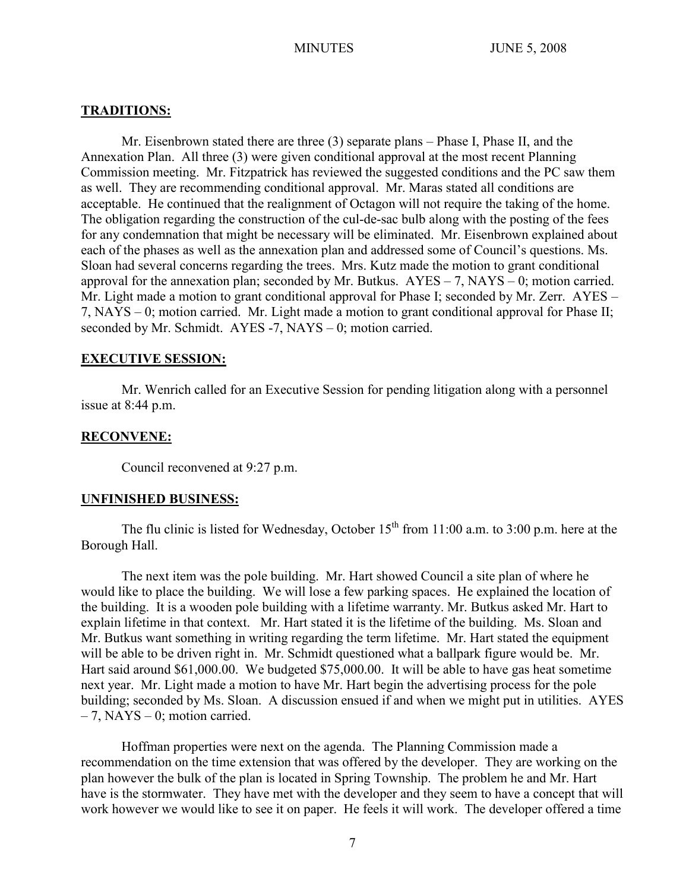## **TRADITIONS:**

Mr. Eisenbrown stated there are three (3) separate plans – Phase I, Phase II, and the Annexation Plan. All three (3) were given conditional approval at the most recent Planning Commission meeting. Mr. Fitzpatrick has reviewed the suggested conditions and the PC saw them as well. They are recommending conditional approval. Mr. Maras stated all conditions are acceptable. He continued that the realignment of Octagon will not require the taking of the home. The obligation regarding the construction of the cul-de-sac bulb along with the posting of the fees for any condemnation that might be necessary will be eliminated. Mr. Eisenbrown explained about each of the phases as well as the annexation plan and addressed some of Council's questions. Ms. Sloan had several concerns regarding the trees. Mrs. Kutz made the motion to grant conditional approval for the annexation plan; seconded by Mr. Butkus.  $AYES - 7$ ,  $NAYS - 0$ ; motion carried. Mr. Light made a motion to grant conditional approval for Phase I; seconded by Mr. Zerr. AYES – 7, NAYS – 0; motion carried. Mr. Light made a motion to grant conditional approval for Phase II; seconded by Mr. Schmidt. AYES -7, NAYS – 0; motion carried.

#### **EXECUTIVE SESSION:**

Mr. Wenrich called for an Executive Session for pending litigation along with a personnel issue at 8:44 p.m.

## **RECONVENE:**

Council reconvened at 9:27 p.m.

#### **UNFINISHED BUSINESS:**

The flu clinic is listed for Wednesday, October  $15<sup>th</sup>$  from 11:00 a.m. to 3:00 p.m. here at the Borough Hall.

The next item was the pole building. Mr. Hart showed Council a site plan of where he would like to place the building. We will lose a few parking spaces. He explained the location of the building. It is a wooden pole building with a lifetime warranty. Mr. Butkus asked Mr. Hart to explain lifetime in that context. Mr. Hart stated it is the lifetime of the building. Ms. Sloan and Mr. Butkus want something in writing regarding the term lifetime. Mr. Hart stated the equipment will be able to be driven right in. Mr. Schmidt questioned what a ballpark figure would be. Mr. Hart said around \$61,000.00. We budgeted \$75,000.00. It will be able to have gas heat sometime next year. Mr. Light made a motion to have Mr. Hart begin the advertising process for the pole building; seconded by Ms. Sloan. A discussion ensued if and when we might put in utilities. AYES  $-7$ , NAYS  $-0$ ; motion carried.

Hoffman properties were next on the agenda. The Planning Commission made a recommendation on the time extension that was offered by the developer. They are working on the plan however the bulk of the plan is located in Spring Township. The problem he and Mr. Hart have is the stormwater. They have met with the developer and they seem to have a concept that will work however we would like to see it on paper. He feels it will work. The developer offered a time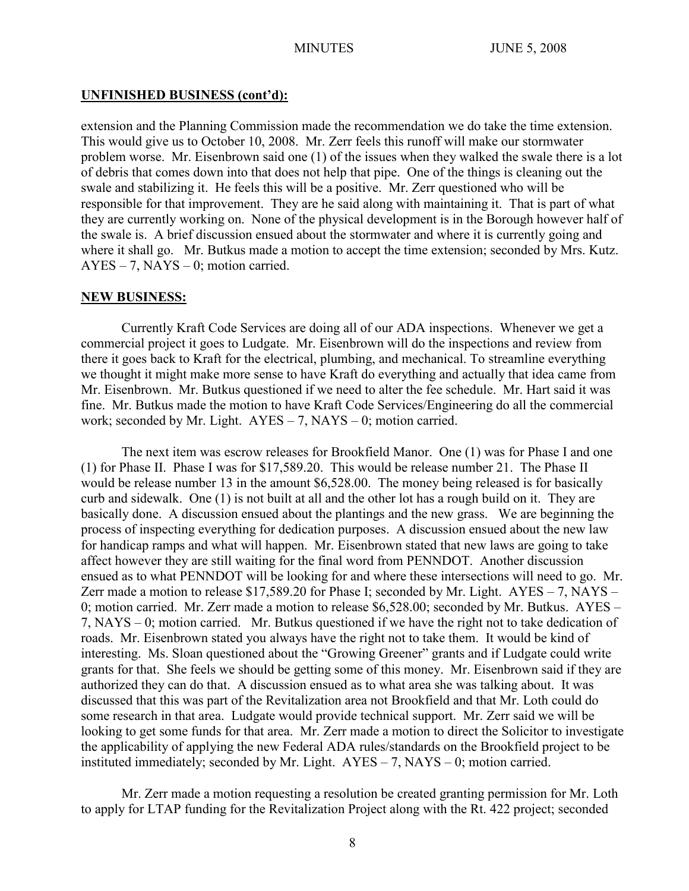#### **UNFINISHED BUSINESS (cont'd):**

extension and the Planning Commission made the recommendation we do take the time extension. This would give us to October 10, 2008. Mr. Zerr feels this runoff will make our stormwater problem worse. Mr. Eisenbrown said one (1) of the issues when they walked the swale there is a lot of debris that comes down into that does not help that pipe. One of the things is cleaning out the swale and stabilizing it. He feels this will be a positive. Mr. Zerr questioned who will be responsible for that improvement. They are he said along with maintaining it. That is part of what they are currently working on. None of the physical development is in the Borough however half of the swale is. A brief discussion ensued about the stormwater and where it is currently going and where it shall go. Mr. Butkus made a motion to accept the time extension; seconded by Mrs. Kutz.  $AYES - 7$ ,  $NAYS - 0$ ; motion carried.

#### **NEW BUSINESS:**

Currently Kraft Code Services are doing all of our ADA inspections. Whenever we get a commercial project it goes to Ludgate. Mr. Eisenbrown will do the inspections and review from there it goes back to Kraft for the electrical, plumbing, and mechanical. To streamline everything we thought it might make more sense to have Kraft do everything and actually that idea came from Mr. Eisenbrown. Mr. Butkus questioned if we need to alter the fee schedule. Mr. Hart said it was fine. Mr. Butkus made the motion to have Kraft Code Services/Engineering do all the commercial work; seconded by Mr. Light.  $AYES - 7$ ,  $NAYS - 0$ ; motion carried.

The next item was escrow releases for Brookfield Manor. One (1) was for Phase I and one (1) for Phase II. Phase I was for \$17,589.20. This would be release number 21. The Phase II would be release number 13 in the amount \$6,528.00. The money being released is for basically curb and sidewalk. One (1) is not built at all and the other lot has a rough build on it. They are basically done. A discussion ensued about the plantings and the new grass. We are beginning the process of inspecting everything for dedication purposes. A discussion ensued about the new law for handicap ramps and what will happen. Mr. Eisenbrown stated that new laws are going to take affect however they are still waiting for the final word from PENNDOT. Another discussion ensued as to what PENNDOT will be looking for and where these intersections will need to go. Mr. Zerr made a motion to release \$17,589.20 for Phase I; seconded by Mr. Light. AYES – 7, NAYS – 0; motion carried. Mr. Zerr made a motion to release \$6,528.00; seconded by Mr. Butkus. AYES – 7, NAYS – 0; motion carried. Mr. Butkus questioned if we have the right not to take dedication of roads. Mr. Eisenbrown stated you always have the right not to take them. It would be kind of interesting. Ms. Sloan questioned about the "Growing Greener" grants and if Ludgate could write grants for that. She feels we should be getting some of this money. Mr. Eisenbrown said if they are authorized they can do that. A discussion ensued as to what area she was talking about. It was discussed that this was part of the Revitalization area not Brookfield and that Mr. Loth could do some research in that area. Ludgate would provide technical support. Mr. Zerr said we will be looking to get some funds for that area. Mr. Zerr made a motion to direct the Solicitor to investigate the applicability of applying the new Federal ADA rules/standards on the Brookfield project to be instituted immediately; seconded by Mr. Light.  $AYES - 7$ ,  $NAYS - 0$ ; motion carried.

Mr. Zerr made a motion requesting a resolution be created granting permission for Mr. Loth to apply for LTAP funding for the Revitalization Project along with the Rt. 422 project; seconded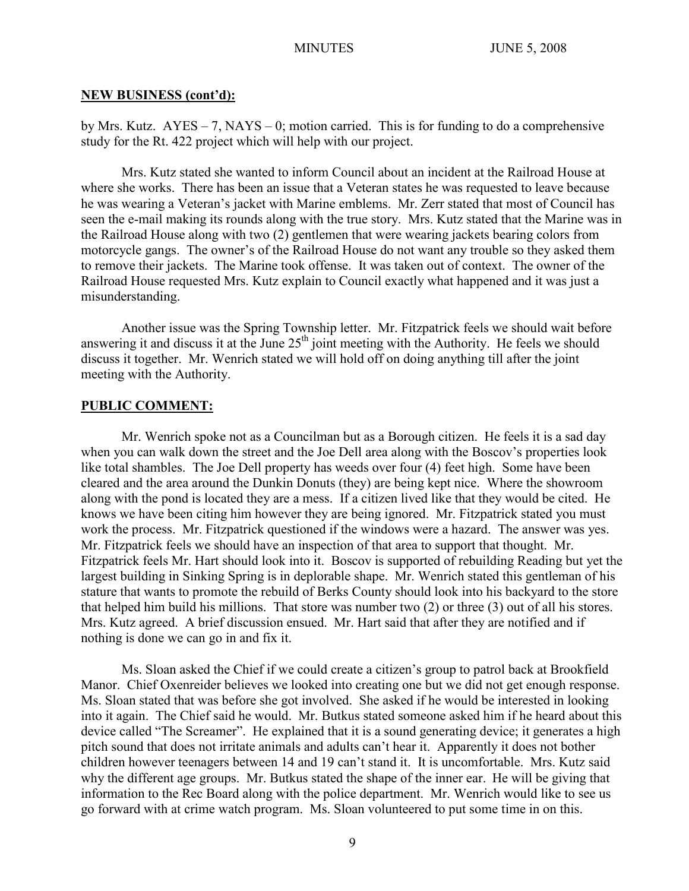#### **NEW BUSINESS (cont'd):**

by Mrs. Kutz.  $AYES - 7$ , NAYS – 0; motion carried. This is for funding to do a comprehensive study for the Rt. 422 project which will help with our project.

Mrs. Kutz stated she wanted to inform Council about an incident at the Railroad House at where she works. There has been an issue that a Veteran states he was requested to leave because he was wearing a Veteran's jacket with Marine emblems. Mr. Zerr stated that most of Council has seen the e-mail making its rounds along with the true story. Mrs. Kutz stated that the Marine was in the Railroad House along with two (2) gentlemen that were wearing jackets bearing colors from motorcycle gangs. The owner's of the Railroad House do not want any trouble so they asked them to remove their jackets. The Marine took offense. It was taken out of context. The owner of the Railroad House requested Mrs. Kutz explain to Council exactly what happened and it was just a misunderstanding.

Another issue was the Spring Township letter. Mr. Fitzpatrick feels we should wait before answering it and discuss it at the June 25<sup>th</sup> joint meeting with the Authority. He feels we should discuss it together. Mr. Wenrich stated we will hold off on doing anything till after the joint meeting with the Authority.

## **PUBLIC COMMENT:**

Mr. Wenrich spoke not as a Councilman but as a Borough citizen. He feels it is a sad day when you can walk down the street and the Joe Dell area along with the Boscov's properties look like total shambles. The Joe Dell property has weeds over four (4) feet high. Some have been cleared and the area around the Dunkin Donuts (they) are being kept nice. Where the showroom along with the pond is located they are a mess. If a citizen lived like that they would be cited. He knows we have been citing him however they are being ignored. Mr. Fitzpatrick stated you must work the process. Mr. Fitzpatrick questioned if the windows were a hazard. The answer was yes. Mr. Fitzpatrick feels we should have an inspection of that area to support that thought. Mr. Fitzpatrick feels Mr. Hart should look into it. Boscov is supported of rebuilding Reading but yet the largest building in Sinking Spring is in deplorable shape. Mr. Wenrich stated this gentleman of his stature that wants to promote the rebuild of Berks County should look into his backyard to the store that helped him build his millions. That store was number two (2) or three (3) out of all his stores. Mrs. Kutz agreed. A brief discussion ensued. Mr. Hart said that after they are notified and if nothing is done we can go in and fix it.

Ms. Sloan asked the Chief if we could create a citizen's group to patrol back at Brookfield Manor. Chief Oxenreider believes we looked into creating one but we did not get enough response. Ms. Sloan stated that was before she got involved. She asked if he would be interested in looking into it again. The Chief said he would. Mr. Butkus stated someone asked him if he heard about this device called "The Screamer". He explained that it is a sound generating device; it generates a high pitch sound that does not irritate animals and adults can't hear it. Apparently it does not bother children however teenagers between 14 and 19 can't stand it. It is uncomfortable. Mrs. Kutz said why the different age groups. Mr. Butkus stated the shape of the inner ear. He will be giving that information to the Rec Board along with the police department. Mr. Wenrich would like to see us go forward with at crime watch program. Ms. Sloan volunteered to put some time in on this.